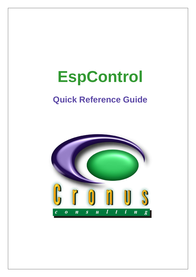# **EspControl**

# **Quick Reference Guide**

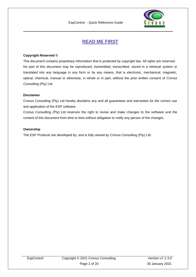

# **READ ME FIRST**

#### <span id="page-1-0"></span>**Copyright Reserved ©**

This document contains proprietary information that is protected by copyright law. All rights are reserved. No part of this document may be reproduced, transmitted, transcribed, stored in a retrieval system or translated into any language in any form or by any means, that is electronic, mechanical, magnetic, optical, chemical, manual or otherwise, in whole or in part, without the prior written consent of Cronus Consulting (Pty) Ltd.

#### **Disclaimer**

Cronus Consulting (Pty) Ltd hereby disclaims any and all guarantees and warranties for the correct use and application of the ESP software.

Cronus Consulting (Pty) Ltd reserves the right to revise and make changes to the software and the content of this document from time to time without obligation to notify any person of the changes.

#### **Ownership**

The ESP Products are developed by, and is fully owned by Cronus Consulting (Pty) Ltd.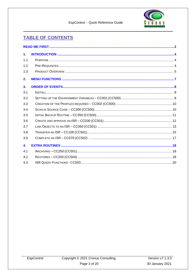

# **TABLE OF CONTENTS**

| 1.               |  |
|------------------|--|
| 1.1              |  |
| 1.2              |  |
| 1.3              |  |
| 2.               |  |
| 3 <sub>1</sub>   |  |
| 3.1              |  |
| 3.2              |  |
| 3.3              |  |
| 3.4              |  |
| 3.5              |  |
| 3.6              |  |
| 3.7              |  |
| 3.8              |  |
| 3.9              |  |
| $\overline{4}$ . |  |
| 4.1              |  |
| 4.2              |  |
| 4.3              |  |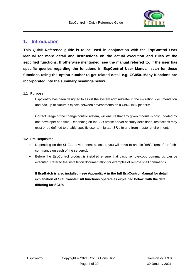

## <span id="page-3-0"></span>**1. Introduction**

**This Quick Reference guide is to be used in conjunction with the EspControl User Manual for more detail and instructions on the actual execution and rules of the sepcified functions. If otherwise mentioned, see the manual referred to. If the user has specific queries regarding the functions in EspControl User Manual, scan for these functions using the option number to get related detail e.g. CC050. Many functions are incorporated into the summary headings below.**

#### <span id="page-3-1"></span>**1.1 Purpose**

EspControl has been designed to assist the system administrator in the migration, documentation and backup of Natural Objects between environments on a Unix/Linux platform.

Correct usage of the change control system, will ensure that any given module is only updated by one developer at a time. Depending on the ISR profile and/or security definitions, restrictions may exist or be defined to enable specific user to migrate ISR's to and from master environment.

#### <span id="page-3-2"></span>**1.2 Pre-Requisites**

- Depending on the SHELL environment selected, you will have to enable "rsh", "remsh" or "ssh" commands on each of the server(s).
- Before the EspControl product is installed ensure that basic remote-copy commands can be executed. Refer to the installation documentation for examples of remote shell commands.

**If EspBatch is also installed - see Appendix A in the full EspControl Manual for detail explanation of SCL transfer. All functions operate as explained below, with the detail differing for SCL's.**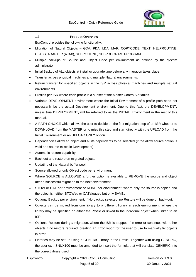

#### <span id="page-4-0"></span>**1.3 Product Overview**

EspControl provides the following functionality:

- Migration of Natural Objects GDA, PDA, LDA, MAP, COPYCODE, TEXT, HELPROUTINE, CLASS, ADAPTER (AJAX), SUBROUTINE, SUBPROGRAM, PROGRAM
- Multiple backups of Source and Object Code per environment as defined by the system administrator
- Initial Backup of ALL objects at install or upgrade time before any migration takes place
- Transfer across physical machines and multiple Natural environments.
- Return transfer for specified objects in the ISR across physical machines and multiple natural environments
- Profiles per ISR where each profile is a subset of the Master Control Variables
- Variable DEVELOPMENT environment where the Initial Environment of a profile path need not necessarily be the actual Development environment. Due to this fact, the DEVELOPMENT, unless true DEVELOPMENT, will be referred to as the INITIAL Environment in the rest of this manual.
- A PATH CHOICE which allows the user to decide on the first migration step of an ISR whether to DOWNLOAD from the MASTER or to miss this step and start directly with the UPLOAD from the Initial Environment or an UPLOAD ONLY option.
- Dependencies allow an object and all its dependents to be selected (if the allow source option is valid and source exists in Development)
- Automatic restore capability
- Back out and restore on migrated objects
- Updating of the Natural buffer pool
- Source allowed or only Object code per environment
- Where SOURCE is ALLOWED a further option is available to REMOVE the source and object after a successful migration to the next environment.
- STOW or CAT per environment or NONE per environment, where only the source is copied and the object is neither STOWed or CATalogued but only SAVEd
- Optional Backup per environment, if No backup selected, no Restore will be done on back-out.
- Objects can be moved from one library to a different library in each environment, where the library may be specified on either the Profile or linked to the individual object when linked to an ISR.
- Optional Restore during a migration, where the ISR is stopped if in error or continues with other objects if no restore required, creating an Error report for the user to use to manually fix objects in error.
- Libraries may be set up using a GENERIC library in the Profile. Together with using GENERIC, the user exit ISNUX100 must be amended to insert the formula that will translate GENERIC into the correct library used.

| EspControl | Copyright © 2021 Cronus Consulting | Version $v7.1.3.0$ |
|------------|------------------------------------|--------------------|
|            | Page 5 of 20                       | 30 January 2021    |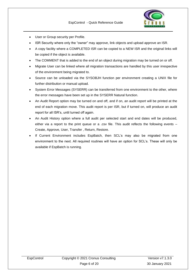

- User or Group security per Profile.
- ISR Security where only the "owner" may approve, link objects and upload approve an ISR.
- A copy facility where a COMPLETED ISR can be copied to a NEW ISR and the original links will be copied if the object is available.
- The COMMENT that is added to the end of an object during migration may be turned on or off.
- Migrate User can be linked where all migration transactions are handled by this user irrespective of the environment being migrated to.
- Source can be unloaded via the SYSOBJH function per environment creating a UNIX file for further distribution or manual upload.
- System Error Messages (SYSERR) can be transferred from one environment to the other, where the error messages have been set up in the SYSERR Natural function.
- An Audit Report option may be turned on and off, and if on, an audit report will be printed at the end of each migration move. This audit report is per ISR, but if turned on, will produce an audit report for all ISR's, until turned off again.
- An Audit History option where a full audit per selected start and end dates will be produced, either via a report to the print queue or a .csv file. This audit reflects the following events – Create, Approve, User, Transfer , Return, Restore.
- If Current Environment includes EspBatch, then SCL's may also be migrated from one environment to the next. All required routines will have an option for SCL's. These will only be available if EspBatch is running.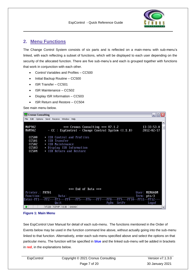

# <span id="page-6-0"></span>**2. Menu Functions**

The Change Control System consists of six parts and is reflected on a main-menu with sub-menu's linked, with each reflecting a subset of functions, which will be displayed to each user depending on the security of the allocated function. There are five sub-menu's and each is grouped together with functions that work in conjunction with each other.

- Control Variables and Profiles CC500
- Initial Backup Routine CC500
- ISR Transfer CC501
- ISR Maintenance CC502
- Display ISR Information CC503
- ISR Return and Restore CC504

See main menu below.

| <b>Ex</b> Cronus Consulting                                                                                                                                             | $ \blacksquare$ $\times$ |
|-------------------------------------------------------------------------------------------------------------------------------------------------------------------------|--------------------------|
| File Edit Options Send Receive Window Help                                                                                                                              |                          |
| MAP902<br>*** Cronus Consulting *** V7.1.2<br>13:33:53.0<br><b>MAM902</b><br>- CC : EspControl - Change Control System (I.S.R)<br>2012/02/17                            | ▵                        |
| CC500<br>+ ISR Control and Profiles<br>CC501<br>+ ISR Transfer<br>CC502<br>+ ISR Maintenance<br>CC503<br>+ Display ISR Information<br>CC504<br>+ ISR Return and Restore |                          |
| *** End of Data ***<br>Printer.: PRT01<br>User: MENUADM                                                                                                                 |                          |
| Function: _____________ Data:<br>Term: pts/3<br>Enter-PF1---PF2---PF3---PF4---PF5---PF6---PF7---PF8---PF9---PF10--PF11--PF12---                                         |                          |
| Quit<br>PgDn SetPr<br>Logof                                                                                                                                             |                          |
| ۰<br>VT220 TCP/IP 13:30<br>0000                                                                                                                                         | $\blacktriangledown$     |

**Figure 1: Main Menu**

See EspControl User Manual for detail of each sub-menu. The functions mentioned in the Order of Events below may be used in the function command line above, without actually going into the sub-menu linked to that function. Alternatively, enter each sub-menu specified above and select the options on that particular menu. The function will be specified in **blue** and the linked sub-menu will be added in brackets in **red**, in the explanations below.

| EspControl | Copyright © 2021 Cronus Consulting | Version $v7.1.3.0$ |
|------------|------------------------------------|--------------------|
|            | Page 7 of 20                       | 30 January 2021    |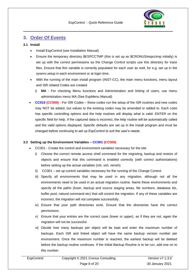

### <span id="page-7-0"></span>**3. Order Of Events**

#### <span id="page-7-1"></span>**3.1 Install**

- Install EspControl (see Installation Manual)
- Ensure the temporary directory \$ESPCCTMP (this is set up as \$CRONUS/espcctmp initially) is set up with the correct permissions as the Change Control scripts use this directory for trace files. Ensure that this variable is correctly populated for each user as well, for e.g. set up in the sysenv.setup in each environment or at login time.
- With the running of the main install program (INST-CC), the main menu functions, menu layout and ISR related Codes are created
	- i) **MA** For checking Menu functions and Administration and linking of users, use menu administration menu MA (See EspMenu Manual)
- **CC010 (CC500)** For ISR Codes these codes run the setup of the ISR routines and new codes may NOT be added, but values to the existing codes may be amended or added to. Each code has specific controlling options and the help routines will display what is valid. ENTER on the specific field for help. If the captured data is incorrect, the help routine will be automatically called and the valid options displayed. Specific defaults are set up in the install program and must be changed before continuing to set up EspControl to suit the user's needs.

#### <span id="page-7-2"></span>**3.2 Setting up the Environment Variables – CC001 (CC500)**

- CC001 Create the control and environment variables necessary for the site
	- i) Choose the correct remote access shell command for the migrating, backup and restore of objects and ensure that this command is enabled correctly (with correct authorisations) before setting up the actual variables (rsh, ssh, remsh)
	- ii) CC001 set up control variables necessary for the running of the Change Control
	- iii) Specify all environments that may be used in any migration, although not all the environments need to be used in an actual migration routine. Name these environments and specify all the paths (fuser, backup and source staging areas, file numbers, database ids, buffer pool, natural command etc) that will control the migration. If any of these variables are incorrect, the migration will not complete successfully.
	- iv) Ensure that your path directories exist. Ensure that the directories have the correct permissions.
	- v) Ensure that your entries are the correct case (lower or upper), as if they are not, again the migration will not be successful.
	- vi) Decide how many backups per object will be kept and enter the maximum number of backups. Each ISR and linked object will have the same backup version number per environment. Once the maximum number is reached, the earliest backup will be deleted before the backup routine continues. If the Initial Backup Routine is to be run, add one on to this number.

| EspControl | Copyright © 2021 Cronus Consulting | Version v7.1.3.0 |
|------------|------------------------------------|------------------|
|            | Page 8 of 20                       | 30 January 2021  |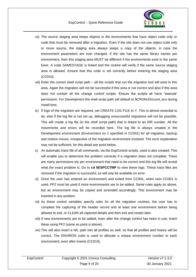

- vii) The source staging area keeps objects in the environments that have object code only or code that must be removed after a migration. Even if the site does not use object code only or move source, the staging area always keeps a copy of the objects, in case the environment parameters are ever changed. If the site has the same library names per environment, then this staging area MUST be different if the environments exist in the same fuser. A code SAMESTAGE is linked and the routine will verify if the same source staging area is allowed. Ensure that this code is set correctly before entering the staging area (CC010).
- viii) Enter the correct shell script path all the scripts that run the migration tool will exist in this area. Again the migration will not be successful if this area is not correct and also if this area does not contain all the change control scripts. Ensure the scripts all have "execute' permission. For Development the shell script path will default to \$CRONUS/ccont\_eco during install time.
- ix) If logs of the migration are required, set CREATE LOG FILE to Y. This is almost essential to do, else if the log file is not set up, debugging unsuccessful migrations will not be possible. This will create a log file (in the shell script path) that is linked to an ISR number. All the movements and errors will be recorded here. The log file is always created in the Development environment (Environment no 1 specified in CC001) for all migration, backup and restore moves, irrespective of the migration environment involved. The error explanation may not be sufficient, for this detail see point below.
- x) An automatic trace file of all commands, via the EspControl scripts, used is also created. This will enable you to determine the problem correctly if a migration does not complete. There are many permissions etc per environment that need to be correct and this log file will reveal what the exact problem is. Go to **cd \$ESPCCTMP** to view these logs. These trace files are removed if the migration is successful, so will only be available on error.
- xi) Once the user has entered an environment and exited from CC001, when next CC001 is used, PF2 must be used if more environments are to be added. Same rules apply as above, but an environment may be copied and amended accordingly. This environment may be inserted in any position.
- xii) As these control variables specify rules for all the migration routines, the user has to complete the capturing of the header record and at least one environment before being allowed to exit, or CLEAR all captured details and then exit and restart later.
- xiii) If new environments are to be added, even after the change control has been in use, insert these using PF2 (same as point xi above).
- xiv) This will also insert a NIL path into all profiles as well, so that all profiles and history will be correct. The ENVIRON code is used to allocate a unique environment number to each environment, even after inserts (CC010).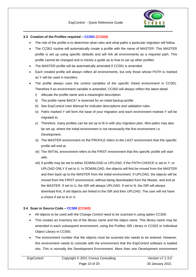

#### <span id="page-9-0"></span>**3.3 Creation of the Profiles required – CC002 (CC500)**

- The role of the profile is to determine what rules and what paths a particular migration will follow.
- The CC001 routine will automatically create a profile with the name of MASTER. This MASTER profile is set up using specific defaults and will link all environments as a required path. This profile cannot be changed and is merely a guide as to how to set up other profiles
- The MASTER profile will be automatically amended if CC001 is amended.
- Each created profile will always reflect all environments, but only those whose PATH is marked as Y will be used in transfers.
- The profile always uses the control variables of the specific linked environment in CC001. Therefore if an environment variable is amended, CC002 will always reflect the latest detail.
	- i) Allocate the profile name and a meaningful description.
	- ii) The profile name BACK\* is reserved for an initial backup profile.
	- iii) See EspControl User Manual for indicator descriptions and validation rules.
	- iv) Paths marked Y will form the base of your migration and each environment marked Y will be migrated to.
	- v) Therefore, many profiles can be set up to fit in with any migration plan. Mini-paths may also be set up, where the initial environment is not necessarily the first environment i.e. Development.
	- vi) The MASTER environment on the PROFILE refers to the LAST environment that this specific profile will end at.
	- vii) The INITIAL environment refers to the FIRST environment that this specific profile will start with.
	- viii) A profile may be set to either DOWNLOAD or UPLOAD, if the PATH-CHOICE is set to Y, or UPLOAD ONLY if set to U. In DOWNLOAD, the objects will first be moved from the MASTER and then back up to the MASTER from the initial environment. If UPLOAD, the objects will be moved from the FIRST environment, without being downloaded from the Master, and end at the MASTER. If set to U, the ISR will always UPLOAD. If set to N, the ISR will always download first, if old objects are linked to the ISR and then UPLOAD. The user will not have a choice if set to N or U.

#### <span id="page-9-1"></span>**3.4 Scan in Source Code – CC300 (CC500)**

- All objects to be used with the Change Control need to be scanned in using option CC300.
- This creates an inventory list of the library name and the object name. This library name may be amended in each subsequent environment, using the Profiles ISR Library in CC002 or Individual Object Library in CC050.
- The environment number that the objects must be scanned into needs to be entered. However, this environment needs to coincide with the environment that the EspControl software is loaded into. This is normally the Development Environment. More than one Development environment

| EspControl | Copyright © 2021 Cronus Consulting | Version $v7.1.3.0$ |
|------------|------------------------------------|--------------------|
|            | Page 10 of 20                      | 30 January 2021    |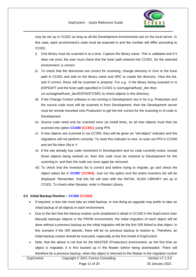

may be set up in CC001 as long as all the Development environments are on the local server. In this case, each environment's code must be scanned in and the number will differ according to CC001.

- i) One library must be scanned in at a time. Capture the library name. This is validated and if it does not exist, the user must check that the fuser path entered into CC001, for the selected environment, is correct.
- ii) To check that the directories are correct for scanning, change directory in Unix to the fuser path in CC001 and add on the library name and SRC to create the directory. View the list, and if correct, these will be scanned in properly. For e.g. .if the library being scanned in is ESPSOFT and the fuser path specified in CC001 is /usr/sag/nat/fuser\_dev then cd usr/sag/nat/fuser\_dev/ESPSOFT/SRC to check objects in this directory.
- iii) If the Change Control software is not running in Development, but in for e.g. Production and the source code must still be scanned in from Development, then the Development server must be remote mounted onto Production to get the link correct for the scanning in of code in Development.
- iv) Source code need only be scanned once (at install time), as all new objects must then be scanned into option **CC050 (CC501)** using PF6.
- v) If new objects are scanned in via CC300, they will be given an "old-object" indicator and the migrations will not perform correctly. To reset this indicator to new, re-scan via PF6 in CC050 and set Re-New Obj to Y.
- vi) If the site already has code movement in Development and no code currently exists, except those objects being worked on, then this code must be restored to Development for the scanning in, and then the code can once again be removed.
- vii) To check that the inventory list is correct and before trying to migrate, go and check the object status list in **CC097 (CC503)**. Just run the option and the entire inventory list will be displayed. Remember, that this list will start with the INITIAL SCAN LIBRARY set up in CC001. To check other libraries, enter in Restart Library.

#### <span id="page-10-0"></span>**3.5 Initial Backup Routine – CC350 (CC500)**

- If required, a new site must take an initial backup, or one doing an upgrade may prefer to take an initial backup of all objects in each environment.
- Due to the fact that the backup routine cycle (explained in detail in CC100 in the EspControl User Manual) backups objects in the FROM environment, the initial migration of each object will be done without a previous backup as the initial migration will be the first ISR linked to that object. In this scenario if the ISR abends, there will be no previous backup to restore to. Therefore, an initial backup routine should be executed, especially at the first install of EspControl.
- Note, that the above is not true for the MASTER (Production) environment, as the first time an object is migrated, it is first backed up in the Master before being downloaded. There will therefore be a previous backup, when the object is returned to the Master in the migration routine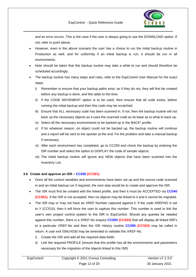

and an error occurs. This is the case if the user is always going to use the DOWNLOAD option. If not, refer to point above.

- However, even in the above scenario the user has a choice to run the initial backup routine in Production as well, and for uniformity if an initial backup is run, it should be run in all environments.
- Note should be taken that this backup routine may take a while to run and should therefore be scheduled accordingly.
- The backup routine has many steps and rules, refer to the EspControl User Manual for the exact steps.
	- i) Remember to ensure that your backup paths exist, as if they do not, they will first be created before any backup is done, and this adds to the time.
	- ii) If the CODE MOVEMENT option is to be used, then ensure that all code exists, before running the initial backup and then this code may be scratched.
	- iii) Ensure that ALL necessary code has been scanned in. If not, then the backup routine will not back up the necessary objects as it uses the scanned code as its base as to what to back up.
	- iv) Select all the necessary environments to be backed up in the BACK\* profile.
	- v) If for whatever reason, on object could not be backed up, the backup routine will continue and a report will be sent to the spooler at the end. Fix the problem and take a manual backup if necessary.
	- vi) After each environment has completed, go to CC200 and check the backup by entering the ISR number and select the option to DISPLAY the code of sample objects.
	- vii) The initial backup routine will ignore any NEW objects that have been scanned into the Inventory List.

#### <span id="page-11-0"></span>**3.6 Create and approve an ISR – CC030 (CC501)**

- Once all the control variables and environments have been set up and the source code scanned in and an initial backup run if required, the next step would be to create and approve the ISR.
- The ISR must first be created with the linked profile, and then it must be ACCEPTED via **CC040 (CC501)**. If the ISR is not accepted, then no objects may be linked to it and it cannot be migrated.
- The ISR may or may not have an XREF Number captured against it. If the code XREFNO is set to Y (CC010), then it will force the user to capture this number. This number is used to link the user's own project control system to the ISR in EspControl. Should any queries be needed against this number, there is a XREF-No enquiry **CC093 (CC503)** that will display all linked ISR's to a particular XREF-No and then the ISR History routine **CC095 (CC503)** may be called in return. A user exit ISNUX030 may be amended to validate this XREF-No.
	- i) Create the ISR and add all the required data fields
	- ii) Link the required PROFILE (ensure that this profile has all the environments and parameters necessary for the migration of the objects linked to this ISR)

| EspControl | Copyright © 2021 Cronus Consulting | Version $v7.1.3.0$ |
|------------|------------------------------------|--------------------|
|            | Page 12 of 20                      | 30 January 2021    |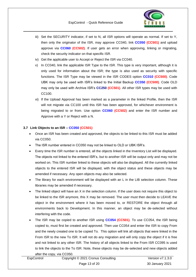

- iii) Set the SECURITY indicator, if set to N, all ISR options will operate as normal. If set to Y, then only the originator of the ISR, may approve CC040, link **CC050 (CC501)** and upload approve via **CC060 (CC502)**. If user gets an error when approving, linking or migrating, check the security indicator on that specific ISR.
- iv) Get the applicable user to Accept or Reject the ISR via CC040.
- v) In CC040, link the applicable ISR Type to the ISR. This type is very important, although it is only used for information about the ISR; the type is also used as security with specific functions. The ISR Type may be viewed in the ISR CODES option **CC010 (CC500)**. Code UBK may only be used with ISR's linked to the Initial Backup **CC350 (CC500)**. Code OLD may only be used with Archive ISR's **CC250 (CC501)**. All other ISR types may be used with CC100.
- vi) If the Upload Approval has been marked as a parameter in the linked Profile, then the ISR will not migrate via CC100 until this ISR has been approved, for whichever environment is being migrated to or from. Use option **CC060 (CC502)** and enter the ISR number and Approve with a Y or Reject with a N.

#### <span id="page-12-0"></span>**3.7 Link Objects to an ISR – CC050 (CC501)**

- Once an ISR has been created and approved, the objects to be linked to this ISR must be added via CC050.
- The ISR number entered in CC050 may not be linked to OLD or UBK ISR's.
- Every time the ISR number is entered, all the objects linked in the Inventory List will be displayed. The objects not linked to the entered ISR's, but to another ISR will be output only and may not be worked on. This ISR number linked to these objects will also be displayed. All the currently linked objects to the entered ISR will be displayed, with the object status and these objects may be amended if necessary. Any open objects may also be selected.
- The library for each environment will be displayed with an L in the LIB selection column. These libraries may be amended if necessary.
- The linked object will have an X in the selection column. If the user does not require this object to be linked to the ISR anymore, this X may be removed. The user must then decide to LEAVE the object in the environment where it has been moved to, or RESTORE the object through all environments back to Development. In this manner, an object may be de-selected without interfering with the code.
- The ISR may be copied to another ISR using **CC054 (CC501)**. To use CC054, the ISR being copied to, must first be created and approved. Then use CC054 and enter the ISR to copy From and the newly created one to be copied To. This option will link all objects that were linked in the From ISR to the new To ISR. It will not do any migration and will only copy the object if it is free and not linked to any other ISR. The history of all objects linked to the From ISR CC095 is used to link the objects to the To ISR. Note, these objects may be de-selected and new objects added after the copy, via CC050.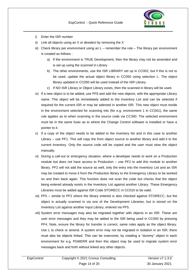

- i) Enter the ISR number
- ii) Link all objects using an X or deselect by removing the X
- iii) Check library per environment using an L remember the rule The library per environment is created as follows :
	- a) If the environment is TRUE Development, then the library may not be amended and is set up using the scanned in Library
	- b) The other environments, use the ISR LIBRARY set up in CC002, but if this is not to be used, update the actual object library in CC050 using selection L. The object library updated in CC050 will be used instead of the ISR Library.
	- c) If NO ISR Library or Object Library exists, then the scanned in library will be used.
- iv) If a new object is to be added, use PF6 and add the new objects, with the appropriate Library name. This object will be immediately added to the Inventory List and can be selected if required for the current ISR or may be selected in another ISR. This new object must reside in the environment selected for scanning into (for e.g. environment 1 in CC001), the same rule applies as to when scanning in the source code via CC300. The selected environment must be in the same fuser as to where the Change Control software is installed or have a pointer to it.
- v) If a copy of the object needs to be added to the inventory list and in this case to another Library – use PF1. This will copy the from object source to another library and add it to the current inventory. Only the source code will be copied and the user must stow the object manually.
- vi) During a call-out or emergency situation, where a developer needs to work on a Production module but does not have access to Production – use PF2 to add this module to another library. PF2 will not add the source as well, only the entry into the Inventory List and an ISR may be created to move it from the Production library to the Emergency Library to be worked on and then back again. This function does not scan the code but checks that the object being entered already exists in the Inventory List against another Library. These Emergency Libraries must be added against ISR Code STORECC in CC010 to be valid.
- vii) PF5 similar to PF2 where the library entered is also checked against STORECC, but the object is actually scanned in via one of the Development Libraries, but is stored on the Inventory List against another Input Library, entered via PF5.
- viii) System error messages may also be migrated together with objects in an ISR. These are user error messages and they may be added to the ISR being used in CC050 by pressing PF4. Note, ensure the library for transfer is correct, same rules apply as the object library. Use L to check or amend. A system error may not be migrated in isolation in an ISR, there must also be objects linked. This can be overcome, by creating a "dummy" object in each environment for e.g. PGMERR and then this object may be used to migrate system error messages back and forth without linked any other objects.

| EspControl | Copyright © 2021 Cronus Consulting | Version $v7.1.3.0$ |
|------------|------------------------------------|--------------------|
|            | Page 14 of 20                      | 30 January 2021    |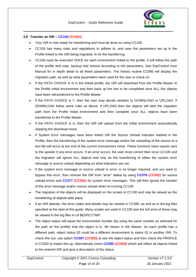

#### <span id="page-14-0"></span>**3.8 Transfer an ISR – CC100 (CC501)**

- Your ISR is now ready for transferring and must be done so using CC100.
- CC100 has many rules and regulations to adhere to, and uses the parameters set up in the Profile linked to the ISR being migrated, to do the transferring.
- CC100 must be executed ONCE for each environment linked to the profile. It will follow the path of the profile and copy, backup and restore according to the parameters. See EspControl User Manual for in depth detail to all these parameters. The history routine CC095 will display the migration path, as well as what parameters were used for the user to check on.
- If the PATH CHOICE is N in the linked profile, the ISR will download from the Profile Master to the Profile Initial environment and then back up the line to be completed once ALL the objects have been retransferred to the Profile Master.
- If the PATH CHOICE is Y, then the user may decide whether to DOWNLOAD or UPLOAD. If DOWNLOAD follow same rules as above. If UPLOAD then the objects will start the migration path from the Profile Initial environment and then complete once ALL objects have been transferred to the Profile Master.
- If the PATH CHOICE is U, then the ISR will upload from the Initial environment automatically skipping the download move.
- If System Error messages have been linked OR the Source Unload indicator marked in the Profile, then the transferring of the system error message and/or the unloading of the source to a text file will occur at the end of the current environment move. These functions have reports sent to the spooler if any error occurs. If an error occurs, the user must correct then rerun CC100 and the migration will ignore ALL objects and only do the transferring of either the system error message or source unload depending on what indicators are set.
- If the system error message or source unload in error, is no longer required, and you want to bypass this error, then remove the ISR from "error" status by using **CC076 (CC502)** for source unload errors and **CC077 (CC502)** for system error messages. This will then ignore the transfer of the error message and/or source unload when re-running CC100.
- The migration of the objects will be displayed on the screen in CC100 and may be viewed as the transferring of objects take place. '
- If an ISR abends, the error codes and details may be viewed in CC095, as well as in the log files specified at the start of this guide. Many scripts are used in CC100 and the full error of these may be viewed in the log files in cd \$ESPCCTMP.
- The object status will equal the environment number (by using the same number as selected for the path on the profile) that the object is in. 99 means in the Master. As each profile has a different path, object status 02 could be a different environment to status 02 in another ISR. To check this out, use option **CC097 (CC503)** to see the object status and then check the PROFILE in CC002 to match this up. Alternatively check **CC090 (CC503)** which will reflect all objects linked to the entered ISR and give a description of the status.

| EspControl | Copyright © 2021 Cronus Consulting | Version $v7.1.3.0$ |
|------------|------------------------------------|--------------------|
|            | Page 15 of 20                      | 30 January 2021    |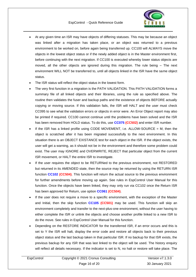

- At any given time an ISR may have objects of differing statuses. This may be because an object was linked after a migration has taken place, or an object was returned to a previous environment to be worked on, before again being transferred up. CC100 will ALWAYS move the objects in the lowest object status or if the newly added object is in the Master environment first, before continuing with the next migration. If CC100 is executed whereby lower status objects are moved, all the other objects are ignored during this migration. The rule being – The next environment WILL NOT be transferred to, until all objects linked in the ISR have the same object status.
- The ISR status will reflect the object status in the lowest form.
- The very first function in a migration is the PATH VALIDATION. This PATH VALIDATION forms a summary file of all linked objects and their libraries, using the rule as specified above. The routine then validates the fuser and backup paths and the existence of objects BEFORE actually copying or moving source. If this validation fails, the ISR will HALT and the user must check CC095 to see what the validation errors or objects in error were. An Error Object report may also be printed if required. CC100 cannot continue until the problems have been solved and the ISR has been removed from HOLD status. To do this, use **CC075 (CC502)** and enter ISR number.
- If the ISR has a linked profile using CODE MOVEMENT, i.e.  $ALLOW-SOURCE = M$ , then the object is scratched after it has been migrated successfully to the next environment. In this situation there is an OBJECT EXISTANCE test for each object in the ISR. If the object exists, the user will get a warning, as it should not be in the environment and therefore some problem could exist. The user may IGNORE and OVERWRITE, REJECT that particular object from the current ISR movement, or HALT the entire ISR to investigate.
- If the user requires the object to be RETURNed to the previous environment, not RESTORED but returned in its AMENDED state, then the source may be returned by using the RETURN ISR function **CC102 (CC504)**. This function will return the actual source to the previous environment for further amendments before moving up again. See rules in EspControl User Manual for this function. Once the objects have been linked, they may only run via CC102 once the Return ISR has been approved for Return, use option **CC061 (CC504)**.
- If the user does not require a move to a specific environment, with the exception of the Master and Initial, then the skip function **CC105 (CC501)** may be used. This function will skip an environment completely and transfer to the next-plus-one environment, without the user having to either complete the ISR or unlink the objects and choose another profile linked to a new ISR to do the move. See rules in EspControl User Manual for this function.
- Depending on the RESTORE INDICATOR for the transferred ISR, if an error occurs and this is set to Y the ISR will halt, display the error code and restore all objects back to their previous object status and the last backup taken in that particular ISR. If no backup for that ISR exists, the previous backup for any ISR that was last linked to the object will be used. The history enquiry will reflect all details necessary. If the indicator is set to N, no halt or restore will take place. The

| EspControl | Copyright © 2021 Cronus Consulting | Version $v7.1.3.0$ |
|------------|------------------------------------|--------------------|
|            | Page 16 of 20                      | 30 January 2021    |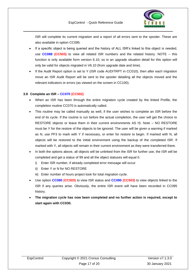

ISR will complete its current migration and a report of all errors sent to the spooler. These are also available in option CC095.

- If a specific object is being queried and the history of ALL ISR's linked to this object is needed, use **CC088 (CC503)** to view all related ISR numbers and the related history. NOTE – this function is only available form version 6.10, so in an upgrade situation detail for this option will only be valid for objects migrated in V6.10 (from upgrade date and time).
- If the Audit Report option is set to Y (ISR code AUDITRPT in CC010), then after each migration move an ISR Audit Report will be sent to the spooler detailing all the objects moved and the relevant indicators or errors (as viewed on the screen in CC100).

#### <span id="page-16-0"></span>**3.9 Complete an ISR – CC070 (CC502)**

- When an ISR has been through the entire migration cycle created by the linked Profile, the completion routine CC070 is automatically called.
- This routine may be called manually as well, if the user wishes to complete an ISR before the end of its cycle. If the routine is run before the actual completion, the user will get the choice to RESTORE objects or leave them in their current environments AS IS. Note – NO RESTORE must be Y for the restore of the objects to be ignored. The user will be given a warning if marked as N, use PF3 to mark with Y if necessary, or enter for restore to begin. If marked with N, all objects will be restored to the initial environment using the backup of the completed ISR. If marked with Y, all objects will remain in their current environment as they were transferred there.
- In both the options above, all objects will be unlinked from the ISR for further use, the ISR will be completed and get a status of 99 and all the object statuses will equal 0.
	- i) Enter ISR number, if already completed error message will occur
	- ii) Enter Y or N for NO RESTORE
	- iii) Enter number of hours project took for total migration cycle.
- Use option **CC080 (CC503)** to view ISR status and **CC090 (CC503)** to view objects linked to the ISR if any queries arise. Obviously, the entire ISR event will have been recorded in CC095 history.
- **The migration cycle has now been completed and no further action is required, except to start again with CC030.**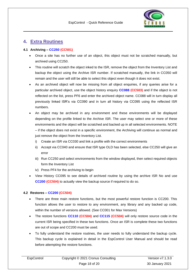

# <span id="page-17-0"></span>**4. Extra Routines**

#### <span id="page-17-1"></span>**4.1 Archiving – CC250 (CC501)**

- Once a site has no further use of an object, this object must not be scratched manually, but archived using CC250.
- This routine will scratch the object inked to the ISR, remove the object from the Inventory List and backup the object using the Archive ISR number. If scratched manually, the link in CC050 will remain and the user will still be able to select this object even though it does not exist.
- As an archived object will now be missing from all object enquiries, if any queries arise for a particular archived object, use the object history enquiry **CC088 (CC503)** and if the object is not reflected on the list, press PF6 and enter the archived object name. CC088 will in turn display all previously linked ISR's via CC090 and in turn all history via CC095 using the reflected ISR numbers.
- An object may be archived in any environment and these environments will be displayed depending on the profile linked to the Archive ISR. The user may select one or more of these environments and the object will be scratched and backed up in all selected environments. NOTE – if the object does not exist in a specific environment, the Archiving will continue as normal and just remove the object from the Inventory List.
	- i) Create an ISR via CC030 and link a profile with the correct environments
	- ii) Accept via CC040 and ensure that ISR type OLD has been selected, else CC250 will give an error
	- iii) Run CC250 and select environments from the window displayed, then select required objects form the Inventory List
	- iv) Press PF4 for the archiving to begin
- View History CC095 to see details of archived routine by using the archive ISR No and use **CC200 (CC504)** to actually view the backup source if required to do so.

#### <span id="page-17-2"></span>**4.2 Restores – CC200 (CC504)**

- There are three main restore functions, but the most powerful restore function is CC200. This function allows the user to restore to any environment, any library and any backed up code, within the number of versions allowed. (See CC001 for Max Versions)
- The restore functions **CC110 (CC504)** and **CC115 (CC504)** will only restore source code in the current ISR being specified in these two functions. Once an ISR is complete these two functions are out of scope and CC200 must be used.
- To fully understand the restore routines, the user needs to fully understand the backup cycle. This backup cycle is explained in detail in the EspControl User Manual and should be read before attempting the restore functions.

| EspControl | Copyright © 2021 Cronus Consulting | Version v7.1.3.0 |
|------------|------------------------------------|------------------|
|            | Page 18 of 20                      | 30 January 2021  |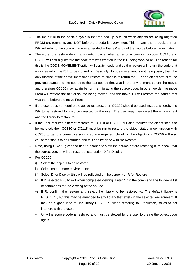

- The main rule to the backup cycle is that the backup is taken when objects are being migrated FROM environments and NOT before the code is overwritten. This means that a backup in an ISR will refer to the source that was amended in the ISR and not the source before the migration.
- Therefore, the restore during a migration cycle, when an error occurs or functions CC110 and CC115 will actually restore the code that was created in the ISR being worked on. The reason for this is the CODE MOVEMENT option will scratch code and so the restore will return the code that was created in the ISR to be worked on. Basically, if code movement is not being used, then the only function of the above-mentioned restore routines is to return the ISR and object status to the previous status and the source to the last source that was in the environment before the move, and therefore CC100 may again be run, re-migrating the source code. In other words, the move From will restore the actual source being moved, and the move TO will restore the source that was there before the move From.
- If the user does not require the above restores, then CC200 should be used instead, whereby the ISR to be restored to, may be selected by the user. The user may then select the environment and the library to restore to.
- If the user requires different restores to CC110 or CC115, but also requires the object status to be restored, then CC110 or CC115 must be run to restore the object status in conjunction with CC200 to get the correct version of source required. Unlinking the objects via CC050 will also cause the status to be returned and this can be done with No Restore.
- Note, using CC200 gives the user a chance to view the source before restoring it, to check that the correct version will be restored, use option D for Display
- For CC200
	- i) Select the objects to be restored
	- ii) Select one or more environments
	- iii) Select D for Display (this will be reflected on the screen) or R for Restore
	- iv) If D selected PF3 to exit when completed viewing. Enter "?" in the command line to view a list of commands for the viewing of the source.
	- v) If R, confirm the restore and select the library to be restored to. The default library is RESTORE, but this may be amended to any library that exists in the selected environment. It may be a good idea to use library RESTORE when restoring to Production, so as to not interfere with the users.
	- vi) Only the source code is restored and must be stowed by the user to create the object code again.